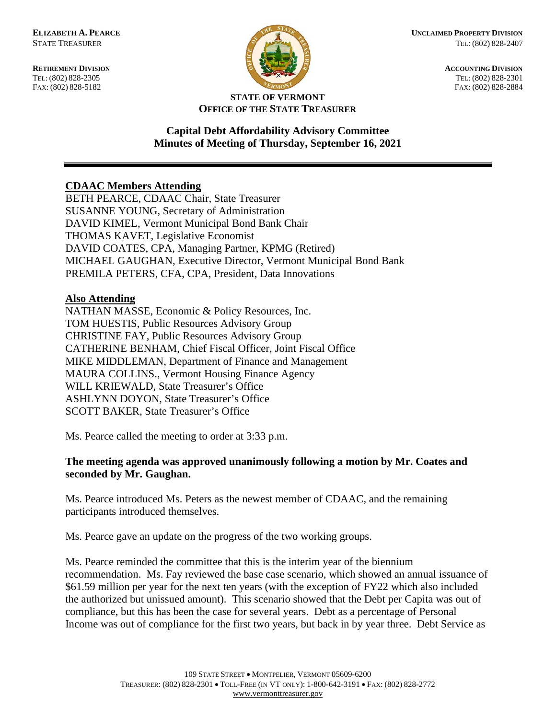FAX: (802) 828-5182



**RETIREMENT DIVISION ACCOUNTING DIVISION** TEL: (802) 828-2305<br>
FAX: (802) 828-2305<br>
FAX: (802) 828-2884<br>
TEL: (802) 828-2884

#### **STATE OF VERMONT OFFICE OF THE STATE TREASURER**

# **Capital Debt Affordability Advisory Committee Minutes of Meeting of Thursday, September 16, 2021**

# **CDAAC Members Attending**

BETH PEARCE, CDAAC Chair, State Treasurer SUSANNE YOUNG, Secretary of Administration DAVID KIMEL, Vermont Municipal Bond Bank Chair THOMAS KAVET, Legislative Economist DAVID COATES, CPA, Managing Partner, KPMG (Retired) MICHAEL GAUGHAN, Executive Director, Vermont Municipal Bond Bank PREMILA PETERS, CFA, CPA, President, Data Innovations

# **Also Attending**

NATHAN MASSE, Economic & Policy Resources, Inc. TOM HUESTIS, Public Resources Advisory Group CHRISTINE FAY, Public Resources Advisory Group CATHERINE BENHAM, Chief Fiscal Officer, Joint Fiscal Office MIKE MIDDLEMAN, Department of Finance and Management MAURA COLLINS., Vermont Housing Finance Agency WILL KRIEWALD, State Treasurer's Office ASHLYNN DOYON, State Treasurer's Office SCOTT BAKER, State Treasurer's Office

Ms. Pearce called the meeting to order at 3:33 p.m.

# **The meeting agenda was approved unanimously following a motion by Mr. Coates and seconded by Mr. Gaughan.**

Ms. Pearce introduced Ms. Peters as the newest member of CDAAC, and the remaining participants introduced themselves.

Ms. Pearce gave an update on the progress of the two working groups.

Ms. Pearce reminded the committee that this is the interim year of the biennium recommendation. Ms. Fay reviewed the base case scenario, which showed an annual issuance of \$61.59 million per year for the next ten years (with the exception of FY22 which also included the authorized but unissued amount). This scenario showed that the Debt per Capita was out of compliance, but this has been the case for several years. Debt as a percentage of Personal Income was out of compliance for the first two years, but back in by year three. Debt Service as